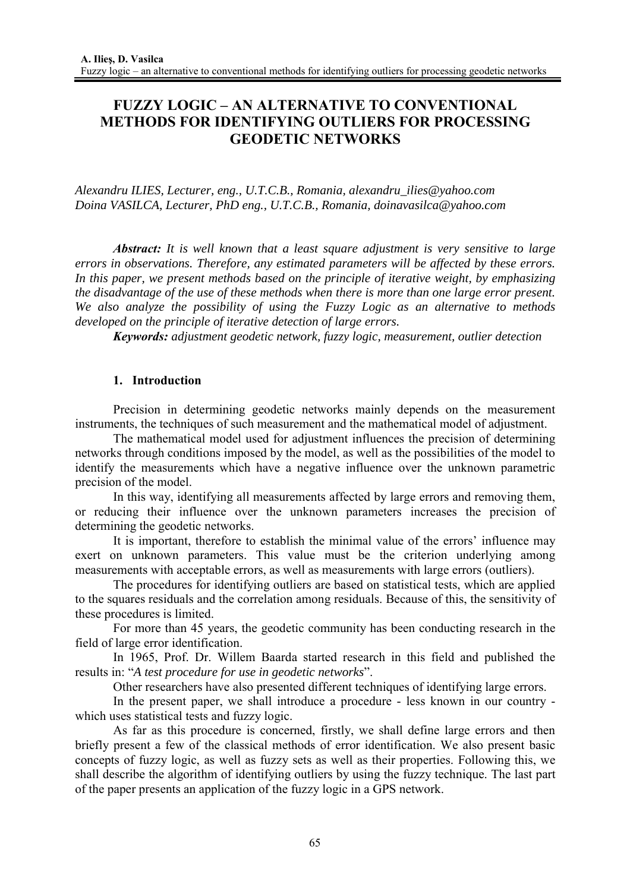# **FUZZY LOGIC – AN ALTERNATIVE TO CONVENTIONAL METHODS FOR IDENTIFYING OUTLIERS FOR PROCESSING GEODETIC NETWORKS**

*Alexandru ILIES, Lecturer, eng., U.T.C.B., Romania, alexandru\_ilies@yahoo.com Doina VASILCA, Lecturer, PhD eng., U.T.C.B., Romania, doinavasilca@yahoo.com*

*Abstract: It is well known that a least square adjustment is very sensitive to large errors in observations. Therefore, any estimated parameters will be affected by these errors. In this paper, we present methods based on the principle of iterative weight, by emphasizing the disadvantage of the use of these methods when there is more than one large error present. We also analyze the possibility of using the Fuzzy Logic as an alternative to methods developed on the principle of iterative detection of large errors.* 

*Keywords: adjustment geodetic network, fuzzy logic, measurement, outlier detection* 

# **1. Introduction**

Precision in determining geodetic networks mainly depends on the measurement instruments, the techniques of such measurement and the mathematical model of adjustment.

The mathematical model used for adjustment influences the precision of determining networks through conditions imposed by the model, as well as the possibilities of the model to identify the measurements which have a negative influence over the unknown parametric precision of the model.

In this way, identifying all measurements affected by large errors and removing them, or reducing their influence over the unknown parameters increases the precision of determining the geodetic networks.

It is important, therefore to establish the minimal value of the errors' influence may exert on unknown parameters. This value must be the criterion underlying among measurements with acceptable errors, as well as measurements with large errors (outliers).

The procedures for identifying outliers are based on statistical tests, which are applied to the squares residuals and the correlation among residuals. Because of this, the sensitivity of these procedures is limited.

For more than 45 years, the geodetic community has been conducting research in the field of large error identification.

In 1965, Prof. Dr. Willem Baarda started research in this field and published the results in: "*A test procedure for use in geodetic networks*".

Other researchers have also presented different techniques of identifying large errors.

In the present paper, we shall introduce a procedure - less known in our country which uses statistical tests and fuzzy logic.

As far as this procedure is concerned, firstly, we shall define large errors and then briefly present a few of the classical methods of error identification. We also present basic concepts of fuzzy logic, as well as fuzzy sets as well as their properties. Following this, we shall describe the algorithm of identifying outliers by using the fuzzy technique. The last part of the paper presents an application of the fuzzy logic in a GPS network.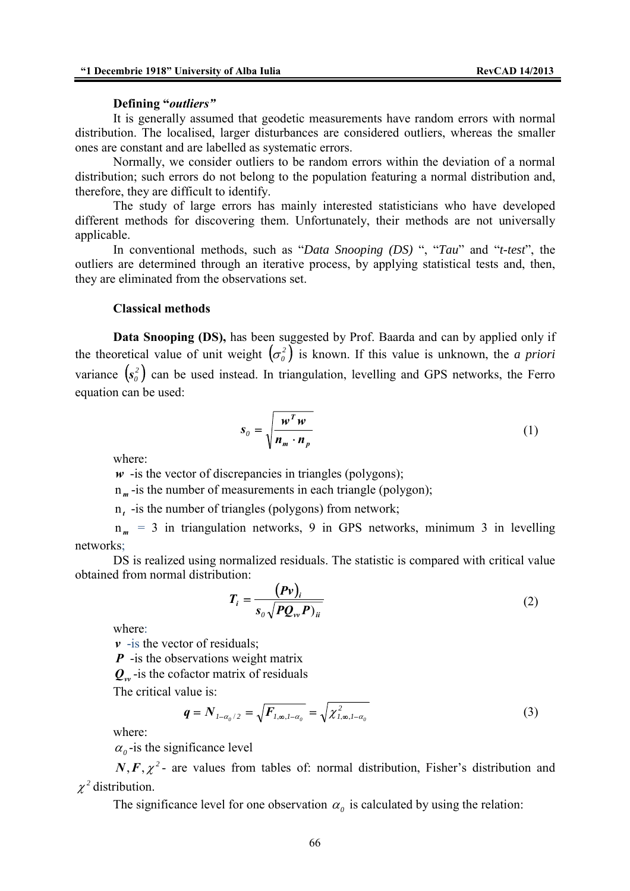### **Defining "***outliers"*

It is generally assumed that geodetic measurements have random errors with normal distribution. The localised, larger disturbances are considered outliers, whereas the smaller ones are constant and are labelled as systematic errors.

Normally, we consider outliers to be random errors within the deviation of a normal distribution; such errors do not belong to the population featuring a normal distribution and, therefore, they are difficult to identify.

The study of large errors has mainly interested statisticians who have developed different methods for discovering them. Unfortunately, their methods are not universally applicable.

In conventional methods, such as "*Data Snooping (DS)* ", "*Tau*" and "*t-test*", the outliers are determined through an iterative process, by applying statistical tests and, then, they are eliminated from the observations set.

#### **Classical methods**

**Data Snooping (DS),** has been suggested by Prof. Baarda and can by applied only if the theoretical value of unit weight  $(\sigma_o^2)$  is known. If this value is unknown, the *a priori* variance  $(s_0^2)$  can be used instead. In triangulation, levelling and GPS networks, the Ferro equation can be used:

$$
s_o = \sqrt{\frac{w^T w}{n_m \cdot n_p}}
$$
 (1)

where:

 $w$  -is the vector of discrepancies in triangles (polygons);

n<sub>m</sub>-is the number of measurements in each triangle (polygon);

n*<sup>t</sup>* -is the number of triangles (polygons) from network;

n *<sup>m</sup>* = 3 in triangulation networks, 9 in GPS networks, minimum 3 in levelling networks;

DS is realized using normalized residuals. The statistic is compared with critical value obtained from normal distribution:

$$
T_i = \frac{(Pv)_i}{s_o \sqrt{PQ_{vv}P_{ii}}}
$$
\n(2)

where:

 $\nu$  -is the vector of residuals:

*P* - is the observations weight matrix

 $Q_{\nu\nu}$ -is the cofactor matrix of residuals

The critical value is:

$$
q = N_{1-\alpha_0/2} = \sqrt{F_{1,\infty,1-\alpha_0}} = \sqrt{\chi_{1,\infty,1-\alpha_0}^2}
$$
 (3)

where:

 $\alpha$ <sup>-is the significance level</sup>

 $N, F, \chi^2$ - are values from tables of: normal distribution, Fisher's distribution and  $\chi^2$  distribution.

The significance level for one observation  $\alpha_0$  is calculated by using the relation: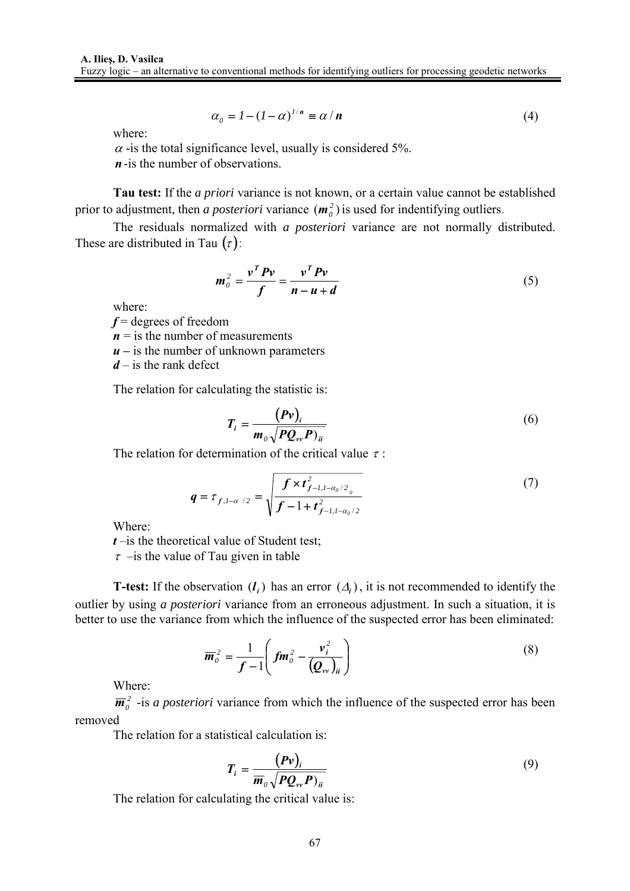$$
\alpha_0 = I - (I - \alpha)^{1/n} \equiv \alpha / n \tag{4}
$$

where:

 $\alpha$  -is the total significance level, usually is considered 5%. *n*-is the number of observations.

**Tau test:** If the *a priori* variance is not known, or a certain value cannot be established prior to adjustment, then *a posteriori* variance  $(m<sub>0</sub><sup>2</sup>)$  is used for indentifying outliers.

The residuals normalized with *a posteriori* variance are not normally distributed. These are distributed in Tau  $(\tau)$ :

$$
m_o^2 = \frac{v^T P v}{f} = \frac{v^T P v}{n - u + d}
$$
\n<sup>(5)</sup>

where:

*f* = degrees of freedom

 $n =$  is the number of measurements

 $u -$  is the number of unknown parameters

*d* – is the rank defect

The relation for calculating the statistic is:

$$
T_i = \frac{(Pv)_i}{m_o \sqrt{PQ_{vv}P)_{ii}}}
$$
\n(6)

The relation for determination of the critical value  $\tau$ :

$$
q = \tau_{f, l-\alpha/2} = \sqrt{\frac{f \times t_{f-l, l-\alpha_0/2_0}^2}{f - 1 + t_{f-l, l-\alpha_0/2}^2}}
$$
(7)

Where:

*t* –is the theoretical value of Student test;

 $\tau$  –is the value of Tau given in table

**T-test:** If the observation  $(l_i)$  has an error  $(\Delta_i)$ , it is not recommended to identify the outlier by using *a posteriori* variance from an erroneous adjustment. In such a situation, it is better to use the variance from which the influence of the suspected error has been eliminated:

$$
\overline{\boldsymbol{m}}_o^2 = \frac{1}{f-1} \left( f \boldsymbol{m}_o^2 - \frac{\boldsymbol{v}_i^2}{(\boldsymbol{Q}_{vv})_{ii}} \right)
$$
(8)

Where:

 $\overline{m}_0^2$  -is *a posteriori* variance from which the influence of the suspected error has been removed

The relation for a statistical calculation is:

$$
T_i = \frac{(Pv)_i}{\overline{m}_o \sqrt{PQ_{vv}P}_{ii}} \tag{9}
$$

The relation for calculating the critical value is: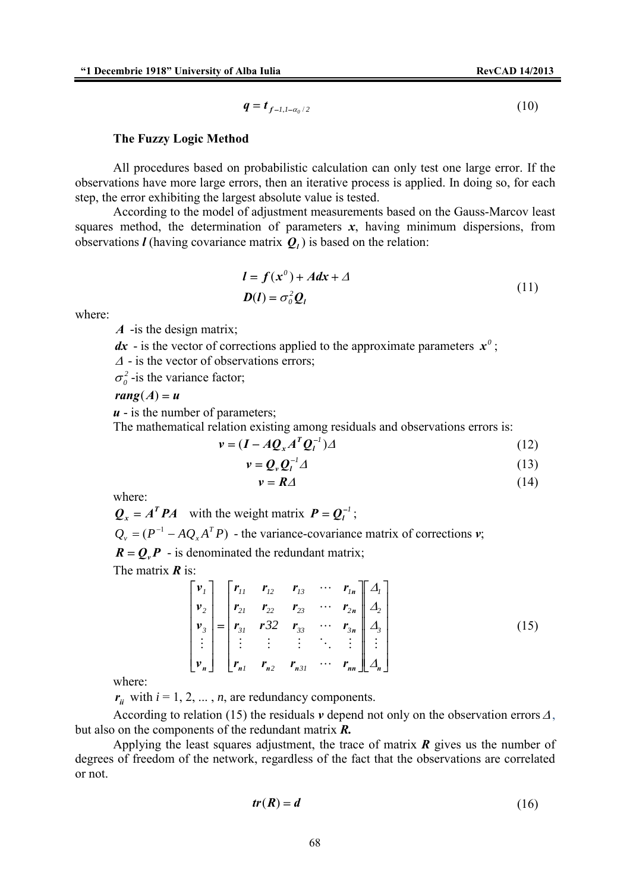$$
q = t_{f-l,l-\alpha_0/2} \tag{10}
$$

#### **The Fuzzy Logic Method**

All procedures based on probabilistic calculation can only test one large error. If the observations have more large errors, then an iterative process is applied. In doing so, for each step, the error exhibiting the largest absolute value is tested.

According to the model of adjustment measurements based on the Gauss-Marcov least squares method, the determination of parameters  $x$ , having minimum dispersions, from observations *l* (having covariance matrix  $Q_i$ ) is based on the relation:

$$
l = f(x^{0}) + Adx + \Delta
$$
  

$$
D(l) = \sigma_0^2 Q_l
$$
 (11)

where:

*A* -is the design matrix;

 $dx$  - is the vector of corrections applied to the approximate parameters  $x^0$ ;

<sup>Δ</sup> - is the vector of observations errors;

 $\sigma_0^2$ -is the variance factor;

## $rang(A) = u$

 *- is the number of parameters;* 

The mathematical relation existing among residuals and observations errors is:

$$
v = (I - A Q_x A^T Q_t^{-1}) \Delta
$$
 (12)

$$
v = Q_v Q_l^{-1} \varDelta \tag{13}
$$

$$
v = R\Delta \tag{14}
$$

where:

$$
Q_x = A^T P A
$$
 with the weight matrix  $P = Q_t^{-1}$ ;  

$$
Q_y = (P^{-1} - A Q_x A^T P)
$$
 - the variance-covariance matrix of corrections  $v$ ;  
 $R = Q_x P$  - is denominated the redundant matrix;

The matrix *R* is:

$$
\begin{bmatrix}\n v_1 \\
 v_2 \\
 v_3 \\
 \vdots \\
 v_n\n\end{bmatrix} =\n\begin{bmatrix}\n r_{11} & r_{12} & r_{13} & \cdots & r_{1n} \\
 r_{21} & r_{22} & r_{23} & \cdots & r_{2n} \\
 r_{31} & r_{32} & r_{33} & \cdots & r_{3n} \\
 \vdots & \vdots & \vdots & \ddots & \vdots \\
 r_{n1} & r_{n2} & r_{n31} & \cdots & r_{nn}\n\end{bmatrix}\n\begin{bmatrix}\n A_1 \\
 A_2 \\
 A_3 \\
 \vdots \\
 A_n\n\end{bmatrix}
$$
\n(15)

where:

 $r_{ii}$  with  $i = 1, 2, ..., n$ , are redundancy components.

According to relation (15) the residuals  $\nu$  depend not only on the observation errors  $\Delta$ , but also on the components of the redundant matrix *R.*

Applying the least squares adjustment, the trace of matrix *R* gives us the number of degrees of freedom of the network, regardless of the fact that the observations are correlated or not.

$$
tr(R) = d \tag{16}
$$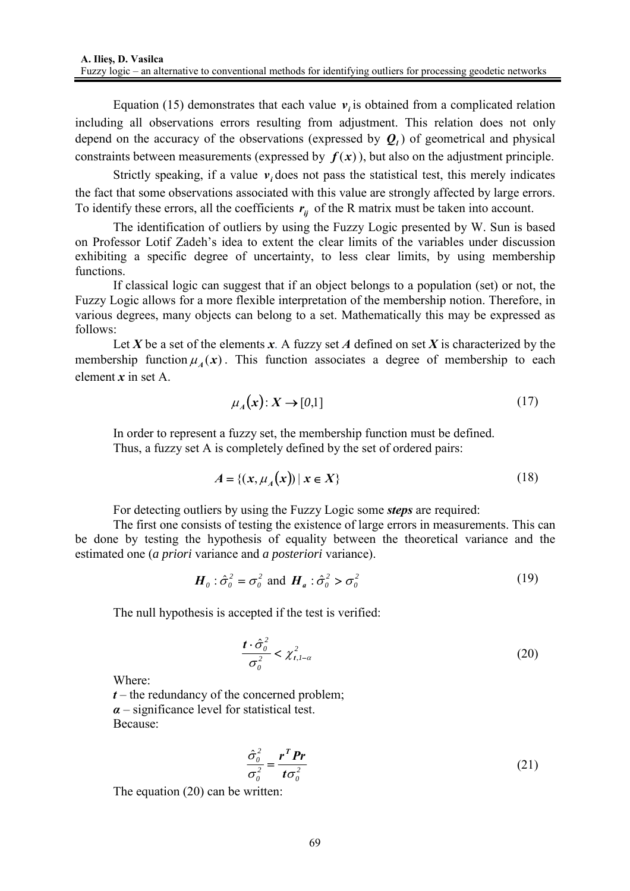Equation (15) demonstrates that each value  $v_i$  is obtained from a complicated relation including all observations errors resulting from adjustment. This relation does not only depend on the accuracy of the observations (expressed by  $Q_l$ ) of geometrical and physical constraints between measurements (expressed by  $f(x)$ ), but also on the adjustment principle.

Strictly speaking, if a value  $v_i$ , does not pass the statistical test, this merely indicates the fact that some observations associated with this value are strongly affected by large errors. To identify these errors, all the coefficients  $r_{ii}$  of the R matrix must be taken into account.

The identification of outliers by using the Fuzzy Logic presented by W. Sun is based on Professor Lotif Zadeh's idea to extent the clear limits of the variables under discussion exhibiting a specific degree of uncertainty, to less clear limits, by using membership functions.

If classical logic can suggest that if an object belongs to a population (set) or not, the Fuzzy Logic allows for a more flexible interpretation of the membership notion. Therefore, in various degrees, many objects can belong to a set. Mathematically this may be expressed as follows:

Let *X* be a set of the elements *x*. A fuzzy set *A* defined on set *X* is characterized by the membership function  $\mu_A(x)$ . This function associates a degree of membership to each element *x* in set A.

$$
\mu_A(x): X \to [0,1] \tag{17}
$$

In order to represent a fuzzy set, the membership function must be defined. Thus, a fuzzy set A is completely defined by the set of ordered pairs:

$$
A = \{ (x, \mu_A(x)) \mid x \in X \}
$$
 (18)

For detecting outliers by using the Fuzzy Logic some *steps* are required:

The first one consists of testing the existence of large errors in measurements. This can be done by testing the hypothesis of equality between the theoretical variance and the estimated one (*a priori* variance and *a posteriori* variance).

$$
\boldsymbol{H}_o: \hat{\sigma}_o^2 = \sigma_o^2 \text{ and } \boldsymbol{H}_a: \hat{\sigma}_o^2 > \sigma_o^2 \tag{19}
$$

The null hypothesis is accepted if the test is verified:

$$
\frac{t \cdot \hat{\sigma}_0^2}{\sigma_0^2} < \chi_{t, l - \alpha}^2 \tag{20}
$$

Where:

 $t$  – the redundancy of the concerned problem; *α* – significance level for statistical test. Because:

$$
\frac{\hat{\sigma}_0^2}{\sigma_0^2} = \frac{r^T Pr}{t \sigma_0^2}
$$
 (21)

The equation (20) can be written: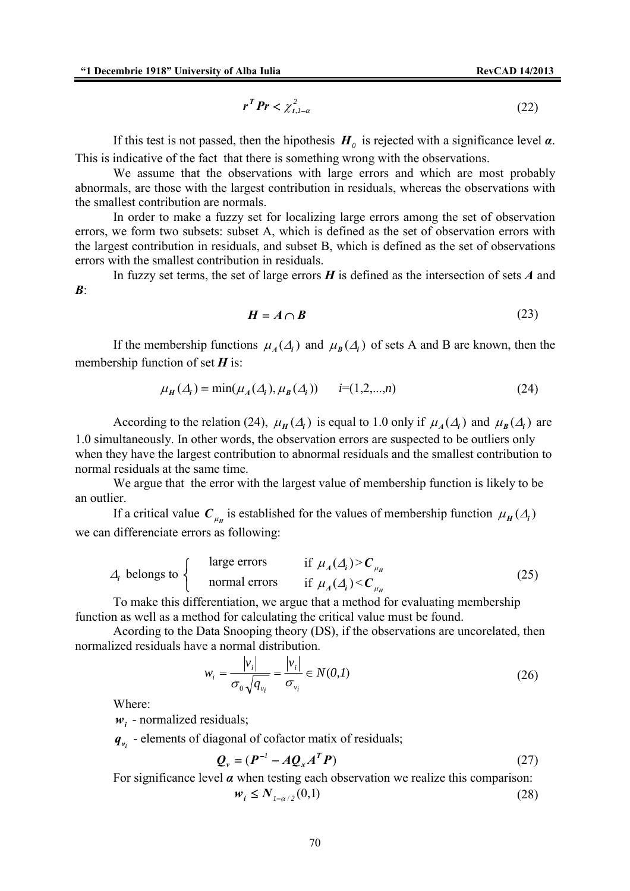$$
r^T Pr < \chi^2_{t, l-\alpha} \tag{22}
$$

If this test is not passed, then the hipothesis  $H_0$  is rejected with a significance level  $\alpha$ . This is indicative of the fact that there is something wrong with the observations.

We assume that the observations with large errors and which are most probably abnormals, are those with the largest contribution in residuals, whereas the observations with the smallest contribution are normals.

In order to make a fuzzy set for localizing large errors among the set of observation errors, we form two subsets: subset A, which is defined as the set of observation errors with the largest contribution in residuals, and subset B, which is defined as the set of observations errors with the smallest contribution in residuals.

In fuzzy set terms, the set of large errors *H* is defined as the intersection of sets *A* and *B*:

$$
H = A \cap B \tag{23}
$$

If the membership functions  $\mu_A(\Delta_i)$  and  $\mu_B(\Delta_i)$  of sets A and B are known, then the membership function of set *H* is:

$$
\mu_H(\Delta_i) = \min(\mu_A(\Delta_i), \mu_B(\Delta_i)) \qquad i = (1, 2, ..., n) \tag{24}
$$

According to the relation (24),  $\mu_H(\Delta_i)$  is equal to 1.0 only if  $\mu_A(\Delta_i)$  and  $\mu_B(\Delta_i)$  are 1.0 simultaneously. In other words, the observation errors are suspected to be outliers only when they have the largest contribution to abnormal residuals and the smallest contribution to normal residuals at the same time.

We argue that the error with the largest value of membership function is likely to be an outlier.

If a critical value  $C_{\mu}$  is established for the values of membership function  $\mu_H(\Delta_i)$ we can differenciate errors as following:

$$
\Delta_i \text{ belongs to } \begin{cases}\n\text{large errors} & \text{if } \mu_A(\Delta_i) > \mathbf{C}_{\mu_H} \\
\text{normal errors} & \text{if } \mu_A(\Delta_i) < \mathbf{C}_{\mu_H}\n\end{cases} \tag{25}
$$

To make this differentiation, we argue that a method for evaluating membership function as well as a method for calculating the critical value must be found.

Acording to the Data Snooping theory (DS), if the observations are uncorelated, then normalized residuals have a normal distribution.

$$
w_i = \frac{|v_i|}{\sigma_0 \sqrt{q_{v_i}}} = \frac{|v_i|}{\sigma_{v_i}} \in N(0, I)
$$
\n(26)

Where:

 $w_i$  - normalized residuals;

 $q_v$  - elements of diagonal of cofactor matix of residuals;

$$
\mathbf{Q}_{\nu} = (\mathbf{P}^{-1} - A\mathbf{Q}_{\nu}A^{T}\mathbf{P})
$$
\n(27)

For significance level  $\alpha$  when testing each observation we realize this comparison:

 $w_i \leq N_{i-\alpha/2}(0,1)$  (28)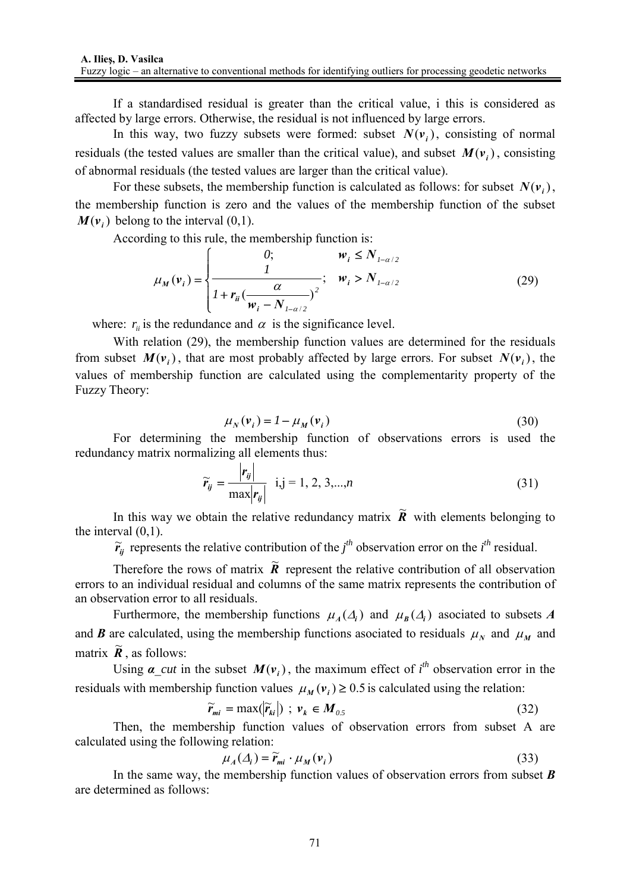If a standardised residual is greater than the critical value, i this is considered as affected by large errors. Otherwise, the residual is not influenced by large errors.

In this way, two fuzzy subsets were formed: subset  $N(\nu)$ , consisting of normal residuals (the tested values are smaller than the critical value), and subset  $M(v_i)$ , consisting of abnormal residuals (the tested values are larger than the critical value).

For these subsets, the membership function is calculated as follows: for subset  $N(v_i)$ , the membership function is zero and the values of the membership function of the subset  $M(v_i)$  belong to the interval (0,1).

According to this rule, the membership function is:

$$
\mu_M(\mathbf{v}_i) = \begin{cases}\n0; & \mathbf{w}_i \le N_{1-\alpha/2} \\
\frac{1}{1 + \mathbf{r}_{ii} (\frac{\alpha}{\mathbf{w}_i - N_{1-\alpha/2}})^2}; & \mathbf{w}_i > N_{1-\alpha/2}\n\end{cases}
$$
\n(29)

where:  $r_{ii}$  is the redundance and  $\alpha$  is the significance level.

With relation (29), the membership function values are determined for the residuals from subset  $M(v_i)$ , that are most probably affected by large errors. For subset  $N(v_i)$ , the values of membership function are calculated using the complementarity property of the Fuzzy Theory:

$$
\mu_N(\mathbf{v}_i) = I - \mu_M(\mathbf{v}_i) \tag{30}
$$

For determining the membership function of observations errors is used the redundancy matrix normalizing all elements thus:

$$
\widetilde{r}_{ij} = \frac{|r_{ij}|}{\max |r_{ij}|} \quad i,j = 1, 2, 3, \dots, n \tag{31}
$$

In this way we obtain the relative redundancy matrix  $\tilde{R}$  with elements belonging to the interval  $(0,1)$ .

 $\tilde{r}_{ij}$  represents the relative contribution of the *j*<sup>th</sup> observation error on the *i*<sup>th</sup> residual.

Therefore the rows of matrix  $\tilde{R}$  represent the relative contribution of all observation errors to an individual residual and columns of the same matrix represents the contribution of an observation error to all residuals.

Furthermore, the membership functions  $\mu_A(\Delta_i)$  and  $\mu_B(\Delta_i)$  asociated to subsets *A* and *B* are calculated, using the membership functions asociated to residuals  $\mu_N$  and  $\mu_M$  and matrix  $\widetilde{R}$ , as follows:

Using  $\alpha$ <sub>\_cut</sub> in the subset  $M(v_i)$ , the maximum effect of  $i<sup>th</sup>$  observation error in the residuals with membership function values  $\mu_M(\mathbf{v}_i) \geq 0.5$  is calculated using the relation:

$$
\widetilde{r}_{mi} = \max(|\widetilde{r}_{ki}|) \; ; \; \nu_k \in M_{0.5} \tag{32}
$$

Then, the membership function values of observation errors from subset A are calculated using the following relation:

$$
\mu_A(\Delta_i) = \widetilde{r}_{mi} \cdot \mu_M(\nu_i) \tag{33}
$$

In the same way, the membership function values of observation errors from subset *B* are determined as follows: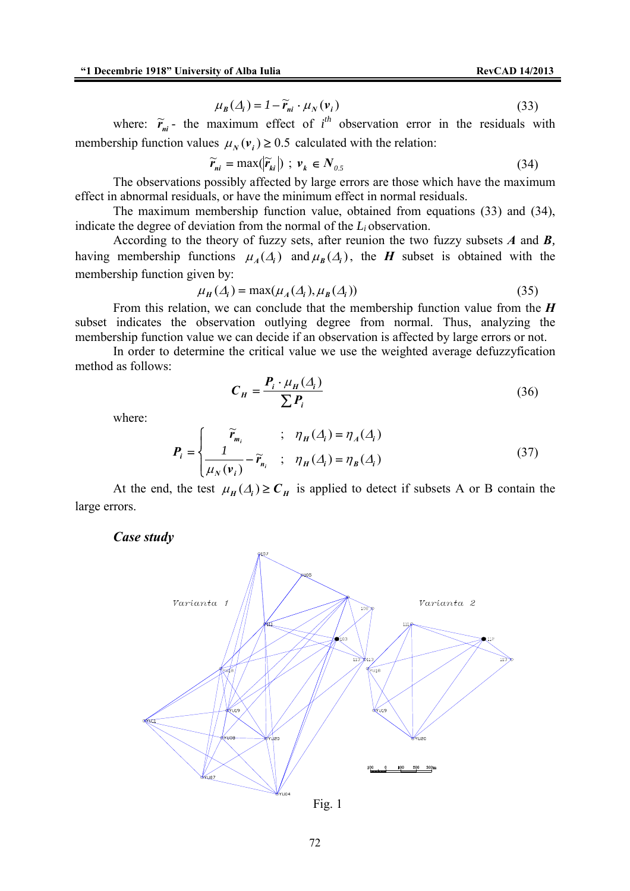$$
\mu_B(\Delta_i) = I - \widetilde{r}_{ni} \cdot \mu_N(\nu_i)
$$
\n(33)

where:  $\tilde{r}_{ni}$  - the maximum effect of  $i^{th}$  observation error in the residuals with membership function values  $\mu_N(\nu_i) \geq 0.5$  calculated with the relation:

$$
\widetilde{r}_{ni} = \max(|\widetilde{r}_{ki}|) \; ; \; \mathbf{v}_k \in N_{0.5} \tag{34}
$$

The observations possibly affected by large errors are those which have the maximum effect in abnormal residuals, or have the minimum effect in normal residuals.

The maximum membership function value, obtained from equations (33) and (34), indicate the degree of deviation from the normal of the *Li* observation.

According to the theory of fuzzy sets, after reunion the two fuzzy subsets *A* and *B,* having membership functions  $\mu_A(\Delta_i)$  and  $\mu_B(\Delta_i)$ , the *H* subset is obtained with the membership function given by:

$$
\mu_H(\Delta_i) = \max(\mu_A(\Delta_i), \mu_B(\Delta_i))
$$
\n(35)

From this relation, we can conclude that the membership function value from the *H* subset indicates the observation outlying degree from normal. Thus, analyzing the membership function value we can decide if an observation is affected by large errors or not.

In order to determine the critical value we use the weighted average defuzzyfication method as follows:

$$
C_H = \frac{P_i \cdot \mu_H(\Delta_i)}{\sum P_i}
$$
 (36)

where:

$$
P_i = \begin{cases} \widetilde{r}_{m_i} & ; \quad \eta_H(\Delta_i) = \eta_A(\Delta_i) \\ \frac{1}{\mu_N(\nu_i)} - \widetilde{r}_{n_i} & ; \quad \eta_H(\Delta_i) = \eta_B(\Delta_i) \end{cases}
$$
(37)

At the end, the test  $\mu_H(\Lambda_i) \geq C_H$  is applied to detect if subsets A or B contain the large errors.

*Case study* 



Fig. 1